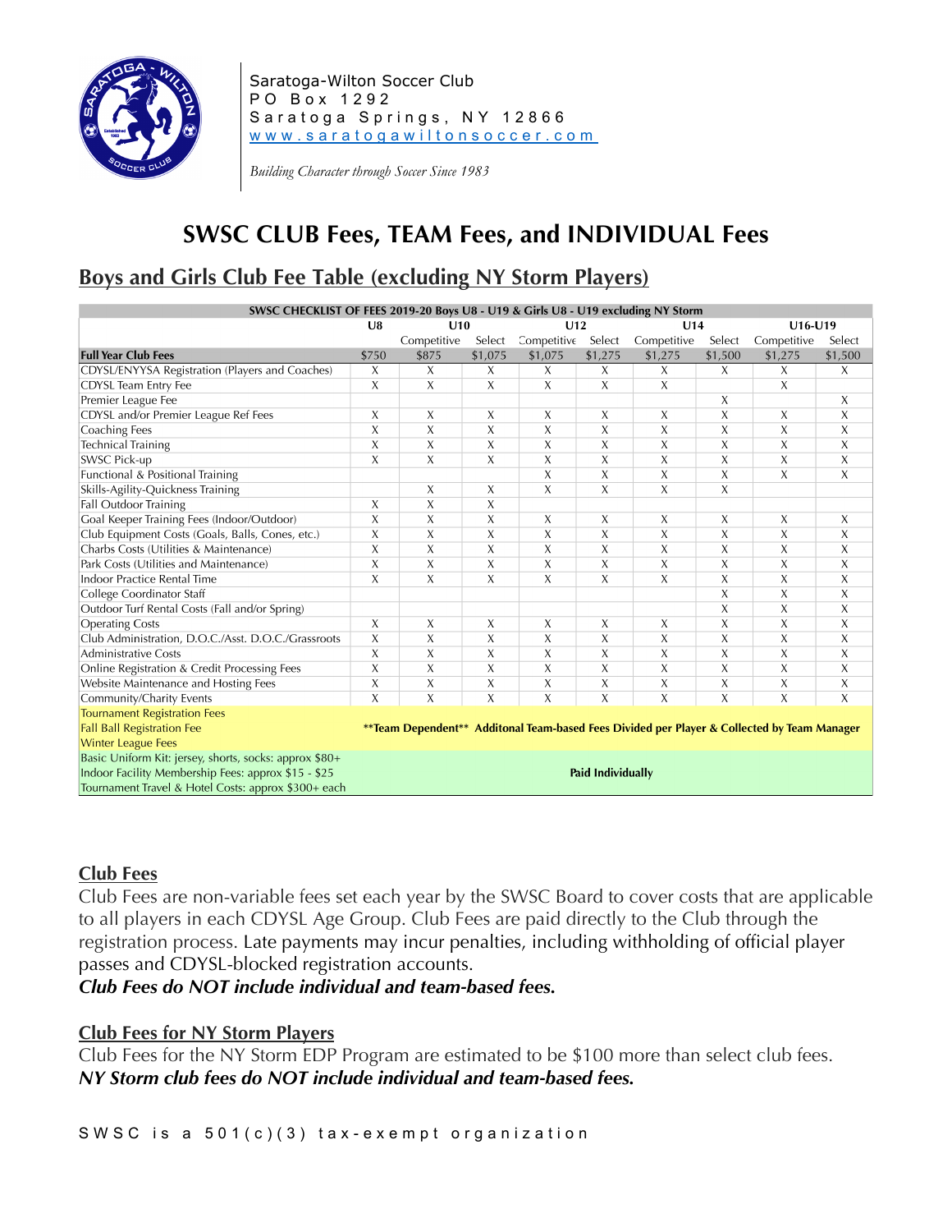

Saratoga-Wilton Soccer Club PO Box 1292 Saratoga Springs, NY 12866 www.saratogawiltonsoccer.com

*Building Character through Soccer Since 1983*

## **SWSC CLUB Fees, TEAM Fees, and INDIVIDUAL Fees**

# **Boys and Girls Club Fee Table (excluding NY Storm Players)**

| SWSC CHECKLIST OF FEES 2019-20 Boys U8 - U19 & Girls U8 - U19 excluding NY Storm                                                 |                |                |                |                |                          |                |                |                |                |  |
|----------------------------------------------------------------------------------------------------------------------------------|----------------|----------------|----------------|----------------|--------------------------|----------------|----------------|----------------|----------------|--|
|                                                                                                                                  | U8             | U10            |                | U12            |                          | U14            |                | $U16-U19$      |                |  |
|                                                                                                                                  |                | Competitive    | Select         | Competitive    | Select                   | Competitive    | Select         | Competitive    | Select         |  |
| <b>Full Year Club Fees</b>                                                                                                       | \$750          | \$875          | \$1,075        | \$1,075        | \$1,275                  | \$1,275        | \$1,500        | \$1,275        | \$1,500        |  |
| CDYSL/ENYYSA Registration (Players and Coaches)                                                                                  | X              | X              | X              | X              | X                        | X              | X              | X              | X              |  |
| CDYSL Team Entry Fee                                                                                                             | X              | X              | X              | X              | X                        | X              |                | X              |                |  |
| Premier League Fee                                                                                                               |                |                |                |                |                          |                | X              |                | X              |  |
| CDYSL and/or Premier League Ref Fees                                                                                             | X              | X              | X              | X              | X                        | X              | X              | X              | X              |  |
| Coaching Fees                                                                                                                    | X              | X              | X              | X              | X                        | X              | X              | X              | X              |  |
| <b>Technical Training</b>                                                                                                        | X              | $\overline{X}$ | X              | X              | $\overline{X}$           | X              | X              | X              | X              |  |
| <b>SWSC Pick-up</b>                                                                                                              | X              | X              | X              | X              | X                        | X              | X              | Χ              | X              |  |
| Functional & Positional Training                                                                                                 |                |                |                | X              | X                        | $\overline{X}$ | X              | X              | $\overline{X}$ |  |
| Skills-Agility-Quickness Training                                                                                                |                | X              | Χ              | X              | X                        | $\chi$         | X              |                |                |  |
| Fall Outdoor Training                                                                                                            | X              | $\overline{X}$ | X              |                |                          |                |                |                |                |  |
| Goal Keeper Training Fees (Indoor/Outdoor)                                                                                       | X              | X              | X              | X              | X                        | Х              | X              | X              | X              |  |
| Club Equipment Costs (Goals, Balls, Cones, etc.)                                                                                 | X              | X              | X              | X              | X                        | $\overline{X}$ | Χ              | X              | X              |  |
| Charbs Costs (Utilities & Maintenance)                                                                                           |                | X              | X              | X              | $\chi$                   | X              | X              | X              | X              |  |
| Park Costs (Utilities and Maintenance)                                                                                           | X              | X              | X              | X              | X                        | X              | X              | X              | X              |  |
| Indoor Practice Rental Time                                                                                                      | X              | X              | X              | X              | $\chi$                   | X              | X              | Χ              | X              |  |
| College Coordinator Staff                                                                                                        |                |                |                |                |                          |                | X              | X              | X              |  |
| Outdoor Turf Rental Costs (Fall and/or Spring)                                                                                   |                |                |                |                |                          |                | X              | X              | X              |  |
| <b>Operating Costs</b>                                                                                                           |                | X              | X              | X              | X                        | X              | X              | X              | X              |  |
| Club Administration, D.O.C./Asst. D.O.C./Grassroots                                                                              |                | X              | X              | X              | X                        | X              | X              | X              | X              |  |
| <b>Administrative Costs</b>                                                                                                      | X              | X              | X              | X              | X                        | X              | X              | X              | X              |  |
| Online Registration & Credit Processing Fees                                                                                     | X              | $\overline{X}$ | X              | X              | X                        | X              | X              | X              | X              |  |
| Website Maintenance and Hosting Fees                                                                                             | X              | X              | Χ              | X              | X                        | X              | X              | Χ              | X              |  |
| Community/Charity Events                                                                                                         | $\overline{X}$ | $\overline{X}$ | $\overline{X}$ | $\overline{X}$ | $\overline{\mathsf{x}}$  | $\overline{X}$ | $\overline{X}$ | $\overline{X}$ | $\overline{X}$ |  |
| <b>Tournament Registration Fees</b>                                                                                              |                |                |                |                |                          |                |                |                |                |  |
| <b>Fall Ball Registration Fee</b><br>**Team Dependent** Additonal Team-based Fees Divided per Player & Collected by Team Manager |                |                |                |                |                          |                |                |                |                |  |
| <b>Winter League Fees</b>                                                                                                        |                |                |                |                |                          |                |                |                |                |  |
| Basic Uniform Kit: jersey, shorts, socks: approx \$80+                                                                           |                |                |                |                |                          |                |                |                |                |  |
| Indoor Facility Membership Fees: approx \$15 - \$25                                                                              |                |                |                |                | <b>Paid Individually</b> |                |                |                |                |  |
| Tournament Travel & Hotel Costs: approx \$300+ each                                                                              |                |                |                |                |                          |                |                |                |                |  |

### **Club Fees**

Club Fees are non-variable fees set each year by the SWSC Board to cover costs that are applicable to all players in each CDYSL Age Group. Club Fees are paid directly to the Club through the registration process. Late payments may incur penalties, including withholding of official player passes and CDYSL-blocked registration accounts.

*Club Fees do NOT include individual and team-based fees.*

### **Club Fees for NY Storm Players**

Club Fees for the NY Storm EDP Program are estimated to be \$100 more than select club fees. *NY Storm club fees do NOT include individual and team-based fees.*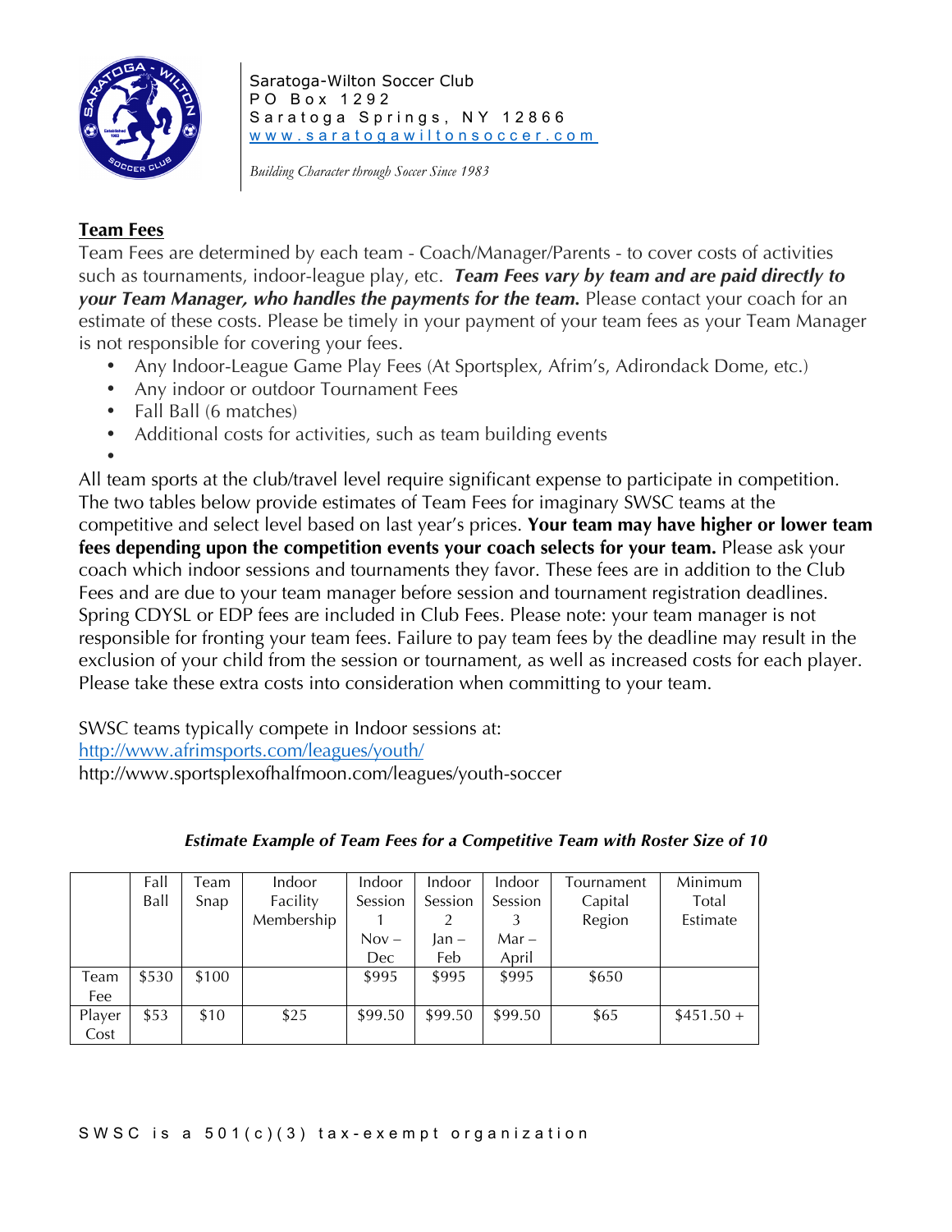

Saratoga-Wilton Soccer Club PO Box 1292 Saratoga Springs, NY 12866 www.saratogawiltonsoccer.com

*Building Character through Soccer Since 1983*

## **Team Fees**

Team Fees are determined by each team - Coach/Manager/Parents - to cover costs of activities such as tournaments, indoor-league play, etc. *Team Fees vary by team and are paid directly to*  **your Team Manager, who handles the payments for the team.** Please contact your coach for an estimate of these costs. Please be timely in your payment of your team fees as your Team Manager is not responsible for covering your fees.

- Any Indoor-League Game Play Fees (At Sportsplex, Afrim's, Adirondack Dome, etc.)
- Any indoor or outdoor Tournament Fees
- Fall Ball (6 matches)
- Additional costs for activities, such as team building events

•

All team sports at the club/travel level require significant expense to participate in competition. The two tables below provide estimates of Team Fees for imaginary SWSC teams at the competitive and select level based on last year's prices. **Your team may have higher or lower team fees depending upon the competition events your coach selects for your team.** Please ask your coach which indoor sessions and tournaments they favor. These fees are in addition to the Club Fees and are due to your team manager before session and tournament registration deadlines. Spring CDYSL or EDP fees are included in Club Fees. Please note: your team manager is not responsible for fronting your team fees. Failure to pay team fees by the deadline may result in the exclusion of your child from the session or tournament, as well as increased costs for each player. Please take these extra costs into consideration when committing to your team.

SWSC teams typically compete in Indoor sessions at:

http://www.afrimsports.com/leagues/youth/

http://www.sportsplexofhalfmoon.com/leagues/youth-soccer

|        | Fall  | Team  | Indoor     | Indoor  | Indoor  | Indoor  | Tournament | Minimum    |
|--------|-------|-------|------------|---------|---------|---------|------------|------------|
|        | Ball  | Snap  | Facility   | Session | Session | Session | Capital    | Total      |
|        |       |       | Membership |         |         |         | Region     | Estimate   |
|        |       |       |            | $Nov -$ | lan –   | $Mar -$ |            |            |
|        |       |       |            | Dec     | Feb     | April   |            |            |
| Team   | \$530 | \$100 |            | \$995   | \$995   | \$995   | \$650      |            |
| Fee    |       |       |            |         |         |         |            |            |
| Player | \$53  | \$10  | \$25       | \$99.50 | \$99.50 | \$99.50 | \$65       | $$451.50+$ |
| Cost   |       |       |            |         |         |         |            |            |

*Estimate Example of Team Fees for a Competitive Team with Roster Size of 10*